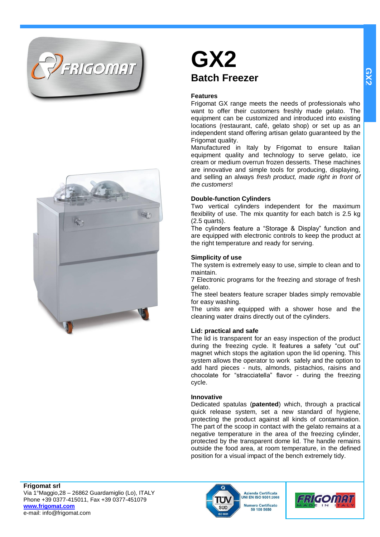



# **GX2 Batch Freezer**

# **Features**

Frigomat GX range meets the needs of professionals who want to offer their customers freshly made gelato. The equipment can be customized and introduced into existing locations (restaurant, café, gelato shop) or set up as an independent stand offering artisan gelato guaranteed by the Frigomat quality.

Manufactured in Italy by Frigomat to ensure Italian equipment quality and technology to serve gelato, ice cream or medium overrun frozen desserts. These machines are innovative and simple tools for producing, displaying, and selling an always *fresh product, made right in front of the customers*!

# **Double-function Cylinders**

Two vertical cylinders independent for the maximum flexibility of use. The mix quantity for each batch is 2.5 kg (2.5 quarts).

The cylinders feature a "Storage & Display" function and are equipped with electronic controls to keep the product at the right temperature and ready for serving.

# **Simplicity of use**

The system is extremely easy to use, simple to clean and to maintain.

7 Electronic programs for the freezing and storage of fresh gelato.

The steel beaters feature scraper blades simply removable for easy washing.

The units are equipped with a shower hose and the cleaning water drains directly out of the cylinders.

# **Lid: practical and safe**

The lid is transparent for an easy inspection of the product during the freezing cycle. It features a safety "cut out" magnet which stops the agitation upon the lid opening. This system allows the operator to work safely and the option to add hard pieces - nuts, almonds, pistachios, raisins and chocolate for "stracciatella" flavor - during the freezing cycle.

# **Innovative**

Dedicated spatulas (**patented**) which, through a practical quick release system, set a new standard of hygiene, protecting the product against all kinds of contamination. The part of the scoop in contact with the gelato remains at a negative temperature in the area of the freezing cylinder, protected by the transparent dome lid. The handle remains outside the food area, at room temperature, in the defined position for a visual impact of the bench extremely tidy.

**Frigomat srl** Via 1°Maggio,28 – 26862 Guardamiglio (Lo), ITALY Phone +39 0377-415011, Fax +39 0377-451079 **[www.frigomat.com](http://www.frigomat.com/)** e-mail: info@frigomat.com



**Azienda Certificata JNI EN ISO 9001:2008** Numero Certificato 50 100 5650